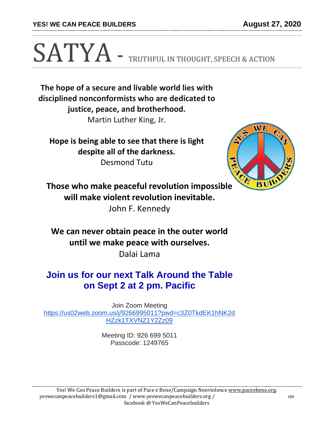**YES! WE CAN PEACE BUILDERS August 27, 2020**

## SATYA - TRUTHFUL IN THOUGHT, SPEECH & ACTION

**The hope of a secure and livable world lies with disciplined nonconformists who are dedicated to justice, peace, and brotherhood.**

Martin Luther King, Jr.

**Hope is being able to see that there is light despite all of the darkness.** Desmond Tutu



**Those who make peaceful revolution impossible will make violent revolution inevitable.** John F. Kennedy

**We can never obtain peace in the outer world until we make peace with ourselves.**

Dalai Lama

## **Join us for our next Talk Around the Table on Sept 2 at 2 pm. Pacific**

Join Zoom Meeting [https://us02web.zoom.us/j/9266995011?pwd=c3Z0TkdEK1hNK2d](https://us02web.zoom.us/j/9266995011?pwd=c3Z0TkdEK1hNK2dHZzk1TXVNZ1Y2Zz09) [HZzk1TXVNZ1Y2Zz09](https://us02web.zoom.us/j/9266995011?pwd=c3Z0TkdEK1hNK2dHZzk1TXVNZ1Y2Zz09)

> Meeting ID: 926 699 5011 Passcode: 1249765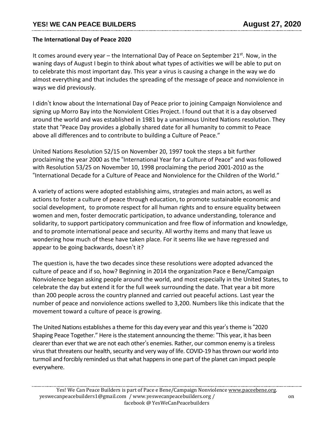## **The International Day of Peace 2020**

It comes around every year – the International Day of Peace on September 21<sup>st</sup>. Now, in the waning days of August I begin to think about what types of activities we will be able to put on to celebrate this most important day. This year a virus is causing a change in the way we do almost everything and that includes the spreading of the message of peace and nonviolence in ways we did previously.

I didn't know about the International Day of Peace prior to joining Campaign Nonviolence and signing up Morro Bay into the Nonviolent Cities Project. I found out that it is a day observed around the world and was established in 1981 by a unanimous United Nations resolution. They state that "Peace Day provides a globally shared date for all humanity to commit to Peace above all differences and to contribute to building a Culture of Peace."

United Nations Resolution 52/15 on November 20, 1997 took the steps a bit further proclaiming the year 2000 as the "International Year for a Culture of Peace" and was followed with Resolution 53/25 on November 10, 1998 proclaiming the period 2001-2010 as the "International Decade for a Culture of Peace and Nonviolence for the Children of the World."

A variety of actions were adopted establishing aims, strategies and main actors, as well as actions to foster a culture of peace through education, to promote sustainable economic and social development, to promote respect for all human rights and to ensure equality between women and men, foster democratic participation, to advance understanding, tolerance and solidarity, to support participatory communication and free flow of information and knowledge, and to promote international peace and security. All worthy items and many that leave us wondering how much of these have taken place. For it seems like we have regressed and appear to be going backwards, doesn't it?

The question is, have the two decades since these resolutions were adopted advanced the culture of peace and if so, how? Beginning in 2014 the organization Pace e Bene/Campaign Nonviolence began asking people around the world, and most especially in the United States, to celebrate the day but extend it for the full week surrounding the date. That year a bit more than 200 people across the country planned and carried out peaceful actions. Last year the number of peace and nonviolence actions swelled to 3,200. Numbers like this indicate that the movement toward a culture of peace is growing.

The United Nations establishes a theme for this day every year and this year's theme is "2020" Shaping Peace Together." Here is the statement announcing the theme: "This year, it has been clearer than ever that we are not each other's enemies. Rather, our common enemy is a tireless virus that threatens our health, security and very way of life. COVID-19 has thrown our world into turmoil and forcibly reminded us that what happens in one part of the planet can impact people everywhere.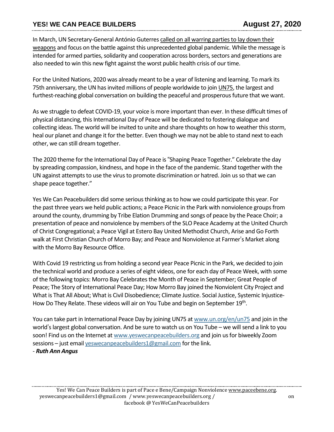## **YES! WE CAN PEACE BUILDERS August 27, 2020**

In March, UN Secretary-General António Guterres called on all warring parties to lay down their [weapons](https://www.un.org/en/un-coronavirus-communications-team/fury-virus-illustrates-folly-war) and focus on the battle against this unprecedented global pandemic. While the message is intended for armed parties, solidarity and cooperation across borders, sectors and generations are also needed to win this new fight against the worst public health crisis of our time.

For the United Nations, 2020 was already meant to be a year of listening and learning. To mark its 75th anniversary, the UN has invited millions of people worldwide to join [UN75,](https://un75.online/) the largest and furthest-reaching global conversation on building the peaceful and prosperous future that we want.

As we struggle to defeat COVID-19, your voice is more important than ever. In these difficult times of physical distancing, this International Day of Peace will be dedicated to fostering dialogue and collecting ideas. The world will be invited to unite and share thoughts on how to weather this storm, heal our planet and change it for the better. Even though we may not be able to stand next to each other, we can still dream together.

The 2020 theme for the International Day of Peace is"Shaping Peace Together." Celebrate the day by spreading compassion, kindness, and hope in the face of the pandemic. Stand together with the UN against attempts to use the virus to promote discrimination or hatred. Join us so that we can shape peace together."

Yes We Can Peacebuilders did some serious thinking as to how we could participate this year. For the past three years we held public actions; a Peace Picnic in the Park with nonviolence groups from around the county, drumming by Tribe Elation Drumming and songs of peace by the Peace Choir; a presentation of peace and nonviolence by members of the SLO Peace Academy at the United Church of Christ Congregational; a Peace Vigil at Estero Bay United Methodist Church, Arise and Go Forth walk at First Christian Church of Morro Bay; and Peace and Nonviolence at Farmer's Market along with the Morro Bay Resource Office.

With Covid 19 restricting us from holding a second year Peace Picnic in the Park, we decided to join the technical world and produce a series of eight videos, one for each day of Peace Week, with some of the following topics: Morro Bay Celebrates the Month of Peace in September; Great People of Peace; The Story of International Peace Day; How Morro Bay joined the Nonviolent City Project and What is That All About; What is Civil Disobedience; Climate Justice. Social Justice, Systemic Injustice-How Do They Relate. These videos will air on You Tube and begin on September 19<sup>th</sup>.

You can take part in International Peace Day by joining UN75 at [www.un.org/en/un75](http://www.un.org/en/un75) and join in the world's largest global conversation. And be sure to watch us on You Tube – we will send a link to you soon! Find us on the Internet at [www.yeswecanpeacebuilders.org](http://www.yeswecanpeacebuilders.org/) and join usfor biweekly Zoom sessions - just email [yeswecanpeacebuilders1@gmail.com](mailto:yeswecanpeacebuilders1@gmail.com) for the link.

- *Ruth Ann Angus*